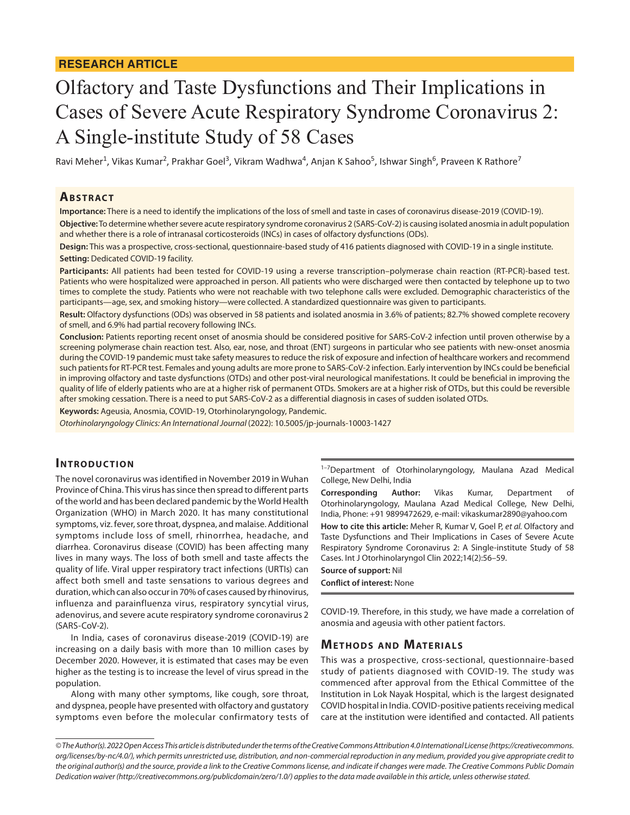# Olfactory and Taste Dysfunctions and Their Implications in Cases of Severe Acute Respiratory Syndrome Coronavirus 2: A Single-institute Study of 58 Cases

Ravi Meher<sup>1</sup>, Vikas Kumar<sup>2</sup>, Prakhar Goel<sup>3</sup>, Vikram Wadhwa<sup>4</sup>, Anjan K Sahoo<sup>5</sup>, Ishwar Singh<sup>6</sup>, Praveen K Rathore<sup>7</sup>

#### **ABSTRACT**

**Importance:** There is a need to identify the implications of the loss of smell and taste in cases of coronavirus disease-2019 (COVID-19).

**Objective:** To determine whether severe acute respiratory syndrome coronavirus 2 (SARS-CoV-2) is causing isolated anosmia in adult population and whether there is a role of intranasal corticosteroids (INCs) in cases of olfactory dysfunctions (ODs).

**Design:** This was a prospective, cross-sectional, questionnaire-based study of 416 patients diagnosed with COVID-19 in a single institute. **Setting:** Dedicated COVID-19 facility.

**Participants:** All patients had been tested for COVID-19 using a reverse transcription–polymerase chain reaction (RT-PCR)-based test. Patients who were hospitalized were approached in person. All patients who were discharged were then contacted by telephone up to two times to complete the study. Patients who were not reachable with two telephone calls were excluded. Demographic characteristics of the participants—age, sex, and smoking history—were collected. A standardized questionnaire was given to participants.

**Result:** Olfactory dysfunctions (ODs) was observed in 58 patients and isolated anosmia in 3.6% of patients; 82.7% showed complete recovery of smell, and 6.9% had partial recovery following INCs.

**Conclusion:** Patients reporting recent onset of anosmia should be considered positive for SARS-CoV-2 infection until proven otherwise by a screening polymerase chain reaction test. Also, ear, nose, and throat (ENT) surgeons in particular who see patients with new-onset anosmia during the COVID-19 pandemic must take safety measures to reduce the risk of exposure and infection of healthcare workers and recommend such patients for RT-PCR test. Females and young adults are more prone to SARS-CoV-2 infection. Early intervention by INCs could be beneficial in improving olfactory and taste dysfunctions (OTDs) and other post-viral neurological manifestations. It could be beneficial in improving the quality of life of elderly patients who are at a higher risk of permanent OTDs. Smokers are at a higher risk of OTDs, but this could be reversible after smoking cessation. There is a need to put SARS-CoV-2 as a differential diagnosis in cases of sudden isolated OTDs.

**Keywords:** Ageusia, Anosmia, COVID-19, Otorhinolaryngology, Pandemic.

*Otorhinolaryngology Clinics: An International Journal* (2022): 10.5005/jp-journals-10003-1427

## **INTRODUCTION**

The novel coronavirus was identified in November 2019 in Wuhan Province of China. This virus has since then spread to different parts of the world and has been declared pandemic by the World Health Organization (WHO) in March 2020. It has many constitutional symptoms, viz. fever, sore throat, dyspnea, and malaise. Additional symptoms include loss of smell, rhinorrhea, headache, and diarrhea. Coronavirus disease (COVID) has been affecting many lives in many ways. The loss of both smell and taste affects the quality of life. Viral upper respiratory tract infections (URTIs) can affect both smell and taste sensations to various degrees and duration, which can also occur in 70% of cases caused by rhinovirus, influenza and parainfluenza virus, respiratory syncytial virus, adenovirus, and severe acute respiratory syndrome coronavirus 2 (SARS-CoV-2).

In India, cases of coronavirus disease-2019 (COVID-19) are increasing on a daily basis with more than 10 million cases by December 2020. However, it is estimated that cases may be even higher as the testing is to increase the level of virus spread in the population.

Along with many other symptoms, like cough, sore throat, and dyspnea, people have presented with olfactory and gustatory symptoms even before the molecular confirmatory tests of <sup>1-7</sup>Department of Otorhinolaryngology, Maulana Azad Medical College, New Delhi, India

**Corresponding Author:** Vikas Kumar, Department of Otorhinolaryngology, Maulana Azad Medical College, New Delhi, India, Phone: +91 9899472629, e-mail: vikaskumar2890@yahoo.com

**How to cite this article:** Meher R, Kumar V, Goel P, *et al.* Olfactory and Taste Dysfunctions and Their Implications in Cases of Severe Acute Respiratory Syndrome Coronavirus 2: A Single-institute Study of 58 Cases. Int J Otorhinolaryngol Clin 2022;14(2):56–59.

**Source of support:** Nil **Conflict of interest:** None

COVID-19. Therefore, in this study, we have made a correlation of anosmia and ageusia with other patient factors.

### **METHODS AND MATERIALS**

This was a prospective, cross-sectional, questionnaire-based study of patients diagnosed with COVID-19. The study was commenced after approval from the Ethical Committee of the Institution in Lok Nayak Hospital, which is the largest designated COVID hospital in India. COVID-positive patients receiving medical care at the institution were identified and contacted. All patients

*<sup>©</sup> The Author(s). 2022 Open Access This article is distributed under the terms of the Creative Commons Attribution 4.0 International License ([https://creativecommons.](https://creativecommons.org/licenses/by-nc/4.0/) [org/licenses/by-nc/4.0/](https://creativecommons.org/licenses/by-nc/4.0/)), which permits unrestricted use, distribution, and non-commercial reproduction in any medium, provided you give appropriate credit to the original author(s) and the source, provide a link to the Creative Commons license, and indicate if changes were made. The Creative Commons Public Domain Dedication waiver [\(http://creativecommons.org/publicdomain/zero/1.0/](http://creativecommons.org/publicdomain/zero/1.0/)) applies to the data made available in this article, unless otherwise stated.*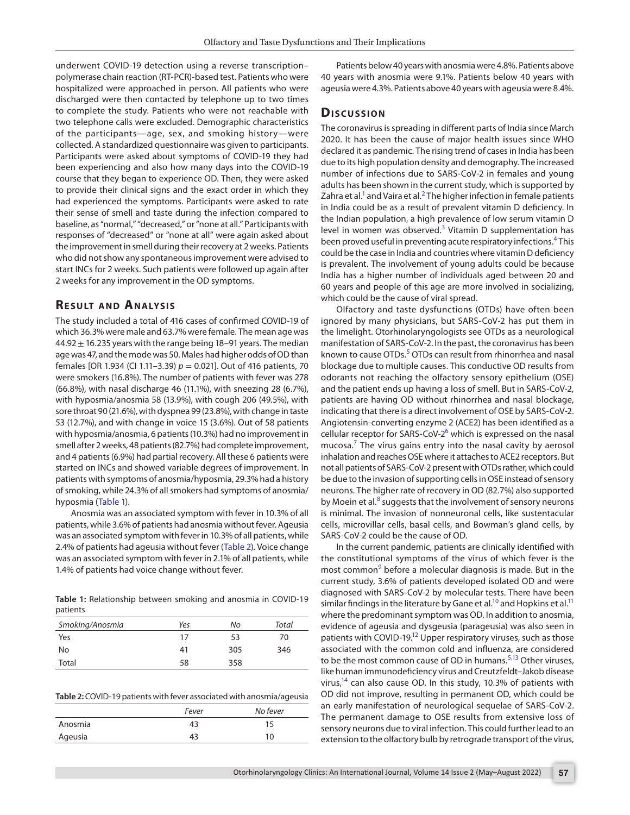underwent COVID-19 detection using a reverse transcription– polymerase chain reaction (RT-PCR)-based test. Patients who were hospitalized were approached in person. All patients who were discharged were then contacted by telephone up to two times to complete the study. Patients who were not reachable with two telephone calls were excluded. Demographic characteristics of the participants—age, sex, and smoking history—were collected. A standardized questionnaire was given to participants. Participants were asked about symptoms of COVID-19 they had been experiencing and also how many days into the COVID-19 course that they began to experience OD. Then, they were asked to provide their clinical signs and the exact order in which they had experienced the symptoms. Participants were asked to rate their sense of smell and taste during the infection compared to baseline, as "normal," "decreased," or "none at all." Participants with responses of "decreased" or "none at all" were again asked about the improvement in smell during their recovery at 2 weeks. Patients who did not show any spontaneous improvement were advised to start INCs for 2 weeks. Such patients were followed up again after 2 weeks for any improvement in the OD symptoms.

#### **RESULT AND ANALYSIS**

The study included a total of 416 cases of confirmed COVID-19 of which 36.3% were male and 63.7% were female. The mean age was 44.92  $\pm$  16.235 years with the range being 18-91 years. The median age was 47, and the mode was 50. Males had higher odds of OD than females [OR 1.934 (CI 1.11–3.39) *p* = 0.021]. Out of 416 patients, 70 were smokers (16.8%). The number of patients with fever was 278 (66.8%), with nasal discharge 46 (11.1%), with sneezing 28 (6.7%), with hyposmia/anosmia 58 (13.9%), with cough 206 (49.5%), with sore throat 90 (21.6%), with dyspnea 99 (23.8%), with change in taste 53 (12.7%), and with change in voice 15 (3.6%). Out of 58 patients with hyposmia/anosmia, 6 patients (10.3%) had no improvement in smell after 2 weeks, 48 patients (82.7%) had complete improvement, and 4 patients (6.9%) had partial recovery. All these 6 patients were started on INCs and showed variable degrees of improvement. In patients with symptoms of anosmia/hyposmia, 29.3% had a history of smoking, while 24.3% of all smokers had symptoms of anosmia/ hyposmia ([Table 1\)](#page-1-0).

Anosmia was an associated symptom with fever in 10.3% of all patients, while 3.6% of patients had anosmia without fever. Ageusia was an associated symptom with fever in 10.3% of all patients, while 2.4% of patients had ageusia without fever ([Table 2\)](#page-1-1). Voice change was an associated symptom with fever in 2.1% of all patients, while 1.4% of patients had voice change without fever.

<span id="page-1-0"></span>**Table 1:** Relationship between smoking and anosmia in COVID-19 patients

| Smoking/Anosmia | Yes | No  | Total |
|-----------------|-----|-----|-------|
| Yes             | 17  | 53  | 70    |
| No              | 41  | 305 | 346   |
| Total           | 58  | 358 |       |

<span id="page-1-1"></span>

|         | Fever | No fever |
|---------|-------|----------|
| Anosmia | 43    | 1 C      |
| Ageusia |       | 10       |

Patients below 40 years with anosmia were 4.8%. Patients above 40 years with anosmia were 9.1%. Patients below 40 years with ageusia were 4.3%. Patients above 40 years with ageusia were 8.4%.

#### **Dis c u s sio n**

The coronavirus is spreading in different parts of India since March 2020. It has been the cause of major health issues since WHO declared it as pandemic. The rising trend of cases in India has been due to its high population density and demography. The increased number of infections due to SARS-CoV-2 in females and young adults has been shown in the current study, which is supported by Zahra et al.<sup>1</sup> and Vaira et al.<sup>[2](#page-2-1)</sup> The higher infection in female patients in India could be as a result of prevalent vitamin D deficiency. In the Indian population, a high prevalence of low serum vitamin D level in women was observed. $3$  Vitamin D supplementation has been proved useful in preventing acute respiratory infections.<sup>[4](#page-2-3)</sup> This could be the case in India and countries where vitamin D deficiency is prevalent. The involvement of young adults could be because India has a higher number of individuals aged between 20 and 60 years and people of this age are more involved in socializing, which could be the cause of viral spread.

Olfactory and taste dysfunctions (OTDs) have often been ignored by many physicians, but SARS-CoV-2 has put them in the limelight. Otorhinolaryngologists see OTDs as a neurological manifestation of SARS-CoV-2. In the past, the coronavirus has been known to cause OTDs.<sup>[5](#page-2-4)</sup> OTDs can result from rhinorrhea and nasal blockage due to multiple causes. This conductive OD results from odorants not reaching the olfactory sensory epithelium (OSE) and the patient ends up having a loss of smell. But in SARS-CoV-2, patients are having OD without rhinorrhea and nasal blockage, indicating that there is a direct involvement of OSE by SARS-CoV-2. Angiotensin-converting enzyme 2 (ACE2) has been identified as a cellular receptor for SARS-CoV-2<sup>[6](#page-2-5)</sup> which is expressed on the nasal mucosa.<sup>[7](#page-2-6)</sup> The virus gains entry into the nasal cavity by aerosol inhalation and reaches OSE where it attaches to ACE2 receptors. But not all patients of SARS-CoV-2 present with OTDs rather, which could be due to the invasion of supporting cells in OSE instead of sensory neurons. The higher rate of recovery in OD (82.7%) also supported by Moein et al.<sup>[8](#page-2-7)</sup> suggests that the involvement of sensory neurons is minimal. The invasion of nonneuronal cells, like sustentacular cells, microvillar cells, basal cells, and Bowman's gland cells, by SARS-CoV-2 could be the cause of OD.

In the current pandemic, patients are clinically identified with the constitutional symptoms of the virus of which fever is the most common<sup>[9](#page-2-8)</sup> before a molecular diagnosis is made. But in the current study, 3.6% of patients developed isolated OD and were diagnosed with SARS-CoV-2 by molecular tests. There have been similar findings in the literature by Gane et al.<sup>10</sup> and Hopkins et al.<sup>11</sup> where the predominant symptom was OD. In addition to anosmia, evidence of ageusia and dysgeusia (parageusia) was also seen in patients with COVID-19.<sup>12</sup> Upper respiratory viruses, such as those associated with the common cold and influenza, are considered to be the most common cause of OD in humans.<sup>[5](#page-2-4)[,13](#page-3-3)</sup> Other viruses, like human immunodeficiency virus and Creutzfeldt–Jakob disease virus, $14$  can also cause OD. In this study, 10.3% of patients with OD did not improve, resulting in permanent OD, which could be an early manifestation of neurological sequelae of SARS-CoV-2. The permanent damage to OSE results from extensive loss of sensory neurons due to viral infection. This could further lead to an extension to the olfactory bulb by retrograde transport of the virus,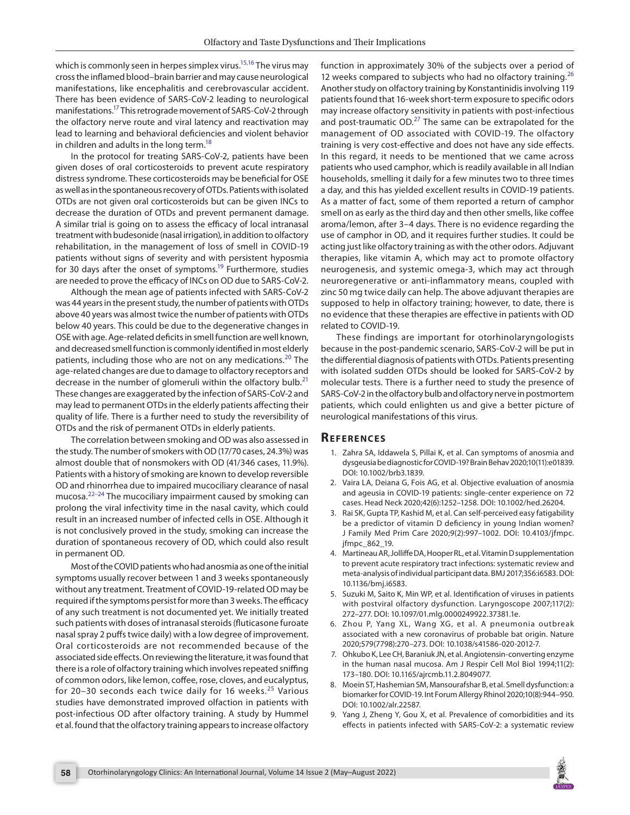which is commonly seen in herpes simplex virus.<sup>15,[16](#page-3-6)</sup> The virus may cross the inflamed blood–brain barrier and may cause neurological manifestations, like encephalitis and cerebrovascular accident. There has been evidence of SARS-CoV-2 leading to neurological manifestations[.17](#page-3-7) This retrograde movement of SARS-CoV-2 through the olfactory nerve route and viral latency and reactivation may lead to learning and behavioral deficiencies and violent behavior in children and adults in the long term.<sup>18</sup>

In the protocol for treating SARS-CoV-2, patients have been given doses of oral corticosteroids to prevent acute respiratory distress syndrome. These corticosteroids may be beneficial for OSE as well as in the spontaneous recovery of OTDs. Patients with isolated OTDs are not given oral corticosteroids but can be given INCs to decrease the duration of OTDs and prevent permanent damage. A similar trial is going on to assess the efficacy of local intranasal treatment with budesonide (nasal irrigation), in addition to olfactory rehabilitation, in the management of loss of smell in COVID-19 patients without signs of severity and with persistent hyposmia for 30 days after the onset of symptoms.<sup>19</sup> Furthermore, studies are needed to prove the efficacy of INCs on OD due to SARS-CoV-2.

Although the mean age of patients infected with SARS-CoV-2 was 44 years in the present study, the number of patients with OTDs above 40 years was almost twice the number of patients with OTDs below 40 years. This could be due to the degenerative changes in OSE with age. Age-related deficits in smell function are well known, and decreased smell function is commonly identified in most elderly patients, including those who are not on any medications.<sup>[20](#page-3-10)</sup> The age-related changes are due to damage to olfactory receptors and decrease in the number of glomeruli within the olfactory bulb. $21$ These changes are exaggerated by the infection of SARS-CoV-2 and may lead to permanent OTDs in the elderly patients affecting their quality of life. There is a further need to study the reversibility of OTDs and the risk of permanent OTDs in elderly patients.

The correlation between smoking and OD was also assessed in the study. The number of smokers with OD (17/70 cases, 24.3%) was almost double that of nonsmokers with OD (41/346 cases, 11.9%). Patients with a history of smoking are known to develop reversible OD and rhinorrhea due to impaired mucociliary clearance of nasal mucosa.[22](#page-3-12)[–24](#page-3-13) The mucociliary impairment caused by smoking can prolong the viral infectivity time in the nasal cavity, which could result in an increased number of infected cells in OSE. Although it is not conclusively proved in the study, smoking can increase the duration of spontaneous recovery of OD, which could also result in permanent OD.

Most of the COVID patients who had anosmia as one of the initial symptoms usually recover between 1 and 3 weeks spontaneously without any treatment. Treatment of COVID-19-related OD may be required if the symptoms persist for more than 3 weeks. The efficacy of any such treatment is not documented yet. We initially treated such patients with doses of intranasal steroids (fluticasone furoate nasal spray 2 puffs twice daily) with a low degree of improvement. Oral corticosteroids are not recommended because of the associated side effects. On reviewing the literature, it was found that there is a role of olfactory training which involves repeated sniffing of common odors, like lemon, coffee, rose, cloves, and eucalyptus, for 20-30 seconds each twice daily for 16 weeks. $25$  Various studies have demonstrated improved olfaction in patients with post-infectious OD after olfactory training. A study by Hummel et al. found that the olfactory training appears to increase olfactory

function in approximately 30% of the subjects over a period of 12 weeks compared to subjects who had no olfactory training. $^{26}$  $^{26}$  $^{26}$ Another study on olfactory training by Konstantinidis involving 119 patients found that 16-week short-term exposure to specific odors may increase olfactory sensitivity in patients with post-infectious and post-traumatic  $OD.<sup>27</sup>$  The same can be extrapolated for the management of OD associated with COVID-19. The olfactory training is very cost-effective and does not have any side effects. In this regard, it needs to be mentioned that we came across patients who used camphor, which is readily available in all Indian households, smelling it daily for a few minutes two to three times a day, and this has yielded excellent results in COVID-19 patients. As a matter of fact, some of them reported a return of camphor smell on as early as the third day and then other smells, like coffee aroma/lemon, after 3–4 days. There is no evidence regarding the use of camphor in OD, and it requires further studies. It could be acting just like olfactory training as with the other odors. Adjuvant therapies, like vitamin A, which may act to promote olfactory neurogenesis, and systemic omega-3, which may act through neuroregenerative or anti-inflammatory means, coupled with zinc 50 mg twice daily can help. The above adjuvant therapies are supposed to help in olfactory training; however, to date, there is no evidence that these therapies are effective in patients with OD related to COVID-19.

These findings are important for otorhinolaryngologists because in the post-pandemic scenario, SARS-CoV-2 will be put in the differential diagnosis of patients with OTDs. Patients presenting with isolated sudden OTDs should be looked for SARS-CoV-2 by molecular tests. There is a further need to study the presence of SARS-CoV-2 in the olfactory bulb and olfactory nerve in postmortem patients, which could enlighten us and give a better picture of neurological manifestations of this virus.

#### **REFERENCES**

- <span id="page-2-0"></span>1. Zahra SA, Iddawela S, Pillai K, et al. Can symptoms of anosmia and dysgeusia be diagnostic for COVID-19? Brain Behav 2020;10(11):e01839. DOI: 10.1002/brb3.1839.
- <span id="page-2-1"></span>2. Vaira LA, Deiana G, Fois AG, et al. Objective evaluation of anosmia and ageusia in COVID-19 patients: single-center experience on 72 cases. Head Neck 2020;42(6):1252–1258. DOI: 10.1002/hed.26204.
- <span id="page-2-2"></span>3. Rai SK, Gupta TP, Kashid M, et al. Can self-perceived easy fatigability be a predictor of vitamin D deficiency in young Indian women? J Family Med Prim Care 2020;9(2):997–1002. DOI: 10.4103/jfmpc. jfmpc\_862\_19.
- <span id="page-2-3"></span>4. Martineau AR, Jolliffe DA, Hooper RL, et al. Vitamin D supplementation to prevent acute respiratory tract infections: systematic review and meta-analysis of individual participant data. BMJ 2017;356:i6583. DOI: 10.1136/bmj.i6583.
- <span id="page-2-4"></span>5. Suzuki M, Saito K, Min WP, et al. Identification of viruses in patients with postviral olfactory dysfunction. Laryngoscope 2007;117(2): 272–277. DOI: 10.1097/01.mlg.0000249922.37381.1e.
- <span id="page-2-5"></span>6. Zhou P, Yang XL, Wang XG, et al. A pneumonia outbreak associated with a new coronavirus of probable bat origin. Nature 2020;579(7798):270–273. DOI: 10.1038/s41586-020-2012-7.
- <span id="page-2-6"></span>7. Ohkubo K, Lee CH, Baraniuk JN, et al. Angiotensin-converting enzyme in the human nasal mucosa. Am J Respir Cell Mol Biol 1994;11(2): 173–180. DOI: 10.1165/ajrcmb.11.2.8049077.
- <span id="page-2-7"></span>8. Moein ST, Hashemian SM, Mansourafshar B, et al. Smell dysfunction: a biomarker for COVID-19. Int Forum Allergy Rhinol 2020;10(8):944–950. DOI: 10.1002/alr.22587.
- <span id="page-2-8"></span>9. Yang J, Zheng Y, Gou X, et al. Prevalence of comorbidities and its effects in patients infected with SARS-CoV-2: a systematic review